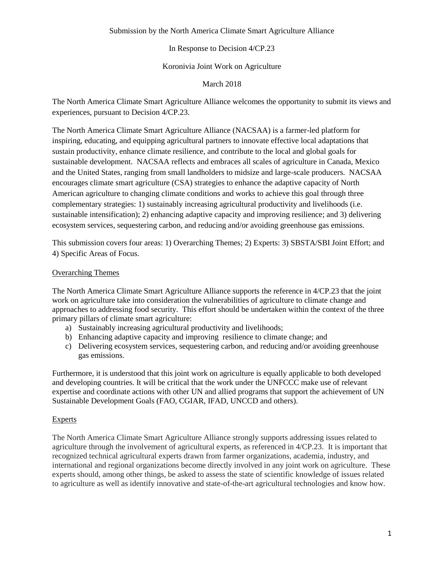## Submission by the North America Climate Smart Agriculture Alliance

# In Response to Decision 4/CP.23

# Koronivia Joint Work on Agriculture

March 2018

The North America Climate Smart Agriculture Alliance welcomes the opportunity to submit its views and experiences, pursuant to Decision 4/CP.23.

The North America Climate Smart Agriculture Alliance (NACSAA) is a farmer-led platform for inspiring, educating, and equipping agricultural partners to innovate effective local adaptations that sustain productivity, enhance climate resilience, and contribute to the local and global goals for sustainable development. NACSAA reflects and embraces all scales of agriculture in Canada, Mexico and the United States, ranging from small landholders to midsize and large-scale producers. NACSAA encourages climate smart agriculture (CSA) strategies to enhance the adaptive capacity of North American agriculture to changing climate conditions and works to achieve this goal through three complementary strategies: 1) sustainably increasing agricultural productivity and livelihoods (i.e. sustainable intensification); 2) enhancing adaptive capacity and improving resilience; and 3) delivering ecosystem services, sequestering carbon, and reducing and/or avoiding greenhouse gas emissions.

This submission covers four areas: 1) Overarching Themes; 2) Experts: 3) SBSTA/SBI Joint Effort; and 4) Specific Areas of Focus.

# Overarching Themes

The North America Climate Smart Agriculture Alliance supports the reference in 4/CP.23 that the joint work on agriculture take into consideration the vulnerabilities of agriculture to climate change and approaches to addressing food security. This effort should be undertaken within the context of the three primary pillars of climate smart agriculture:

- a) Sustainably increasing agricultural productivity and livelihoods;
- b) Enhancing adaptive capacity and improving resilience to climate change; and
- c) Delivering ecosystem services, sequestering carbon, and reducing and/or avoiding greenhouse gas emissions.

Furthermore, it is understood that this joint work on agriculture is equally applicable to both developed and developing countries. It will be critical that the work under the UNFCCC make use of relevant expertise and coordinate actions with other UN and allied programs that support the achievement of UN Sustainable Development Goals (FAO, CGIAR, IFAD, UNCCD and others).

# Experts

The North America Climate Smart Agriculture Alliance strongly supports addressing issues related to agriculture through the involvement of agricultural experts, as referenced in 4/CP.23. It is important that recognized technical agricultural experts drawn from farmer organizations, academia, industry, and international and regional organizations become directly involved in any joint work on agriculture. These experts should, among other things, be asked to assess the state of scientific knowledge of issues related to agriculture as well as identify innovative and state-of-the-art agricultural technologies and know how.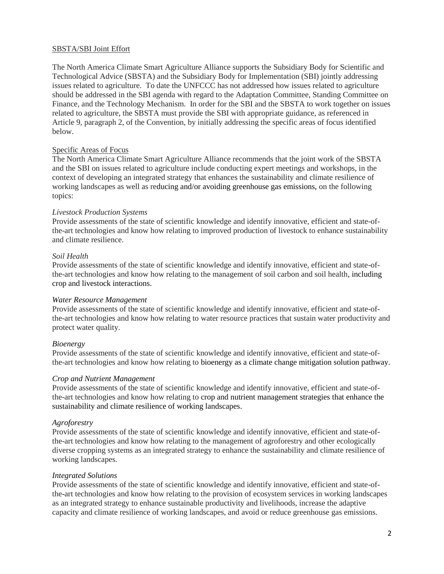#### SBSTA/SBI Joint Effort

The North America Climate Smart Agriculture Alliance supports the Subsidiary Body for Scientific and Technological Advice (SBSTA) and the Subsidiary Body for Implementation (SBI) jointly addressing issues related to agriculture. To date the UNFCCC has not addressed how issues related to agriculture should be addressed in the SBI agenda with regard to the Adaptation Committee, Standing Committee on Finance, and the Technology Mechanism. In order for the SBI and the SBSTA to work together on issues related to agriculture, the SBSTA must provide the SBI with appropriate guidance, as referenced in Article 9, paragraph 2, of the Convention, by initially addressing the specific areas of focus identified below.

#### Specific Areas of Focus

The North America Climate Smart Agriculture Alliance recommends that the joint work of the SBSTA and the SBI on issues related to agriculture include conducting expert meetings and workshops, in the context of developing an integrated strategy that enhances the sustainability and climate resilience of working landscapes as well as reducing and/or avoiding greenhouse gas emissions, on the following topics:

#### *Livestock Production Systems*

Provide assessments of the state of scientific knowledge and identify innovative, efficient and state-ofthe-art technologies and know how relating to improved production of livestock to enhance sustainability and climate resilience.

#### *Soil Health*

Provide assessments of the state of scientific knowledge and identify innovative, efficient and state-ofthe-art technologies and know how relating to the management of soil carbon and soil health, including crop and livestock interactions.

#### *Water Resource Management*

Provide assessments of the state of scientific knowledge and identify innovative, efficient and state-ofthe-art technologies and know how relating to water resource practices that sustain water productivity and protect water quality.

## *Bioenergy*

Provide assessments of the state of scientific knowledge and identify innovative, efficient and state-ofthe-art technologies and know how relating to bioenergy as a climate change mitigation solution pathway.

#### *Crop and Nutrient Management*

Provide assessments of the state of scientific knowledge and identify innovative, efficient and state-ofthe-art technologies and know how relating to crop and nutrient management strategies that enhance the sustainability and climate resilience of working landscapes.

#### *Agroforestry*

Provide assessments of the state of scientific knowledge and identify innovative, efficient and state-ofthe-art technologies and know how relating to the management of agroforestry and other ecologically diverse cropping systems as an integrated strategy to enhance the sustainability and climate resilience of working landscapes.

## *Integrated Solutions*

Provide assessments of the state of scientific knowledge and identify innovative, efficient and state-ofthe-art technologies and know how relating to the provision of ecosystem services in working landscapes as an integrated strategy to enhance sustainable productivity and livelihoods, increase the adaptive capacity and climate resilience of working landscapes, and avoid or reduce greenhouse gas emissions.